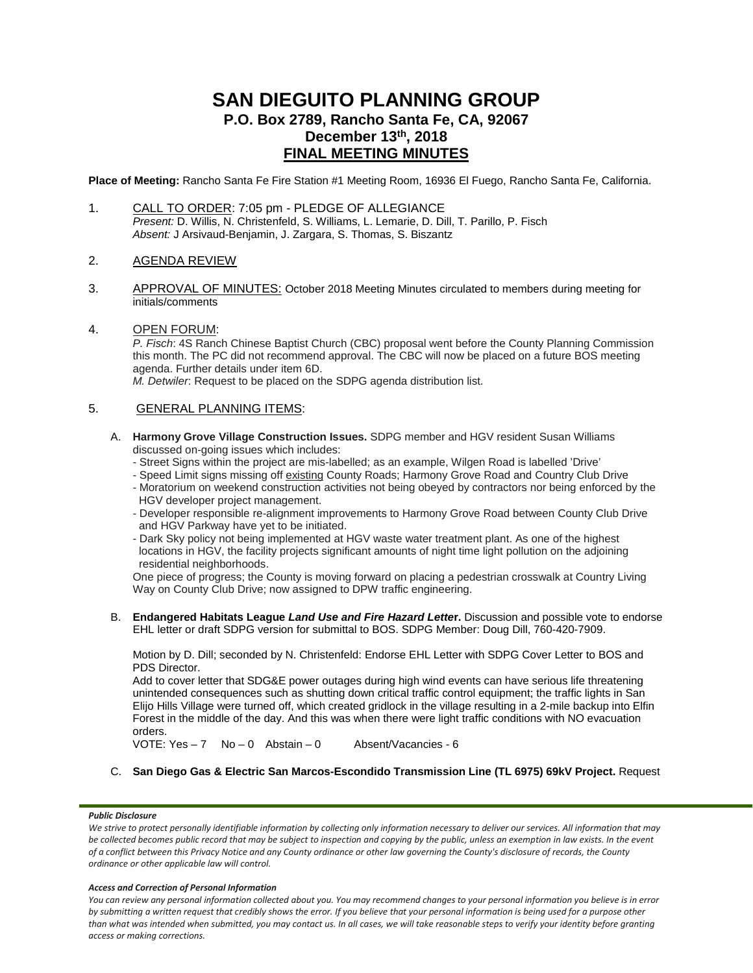# **SAN DIEGUITO PLANNING GROUP P.O. Box 2789, Rancho Santa Fe, CA, 92067 December 13th, 2018 FINAL MEETING MINUTES**

**Place of Meeting:** Rancho Santa Fe Fire Station #1 Meeting Room, 16936 El Fuego, Rancho Santa Fe, California.

- 1. CALL TO ORDER: 7:05 pm PLEDGE OF ALLEGIANCE *Present:* D. Willis, N. Christenfeld, S. Williams, L. Lemarie, D. Dill, T. Parillo, P. Fisch *Absent:* J Arsivaud-Benjamin, J. Zargara, S. Thomas, S. Biszantz
- 2. AGENDA REVIEW
- 3. APPROVAL OF MINUTES: October 2018 Meeting Minutes circulated to members during meeting for initials/comments
- 4. OPEN FORUM:

*P. Fisch*: 4S Ranch Chinese Baptist Church (CBC) proposal went before the County Planning Commission this month. The PC did not recommend approval. The CBC will now be placed on a future BOS meeting agenda. Further details under item 6D.

*M. Detwiler*: Request to be placed on the SDPG agenda distribution list.

## 5. GENERAL PLANNING ITEMS:

- A. **Harmony Grove Village Construction Issues.** SDPG member and HGV resident Susan Williams discussed on-going issues which includes:
	- Street Signs within the project are mis-labelled; as an example, Wilgen Road is labelled 'Drive'
	- Speed Limit signs missing off existing County Roads; Harmony Grove Road and Country Club Drive
	- Moratorium on weekend construction activities not being obeyed by contractors nor being enforced by the HGV developer project management.
	- Developer responsible re-alignment improvements to Harmony Grove Road between County Club Drive and HGV Parkway have yet to be initiated.
	- Dark Sky policy not being implemented at HGV waste water treatment plant. As one of the highest locations in HGV, the facility projects significant amounts of night time light pollution on the adjoining residential neighborhoods.

One piece of progress; the County is moving forward on placing a pedestrian crosswalk at Country Living Way on County Club Drive; now assigned to DPW traffic engineering.

B. **Endangered Habitats League** *Land Use and Fire Hazard Lette***r.** Discussion and possible vote to endorse EHL letter or draft SDPG version for submittal to BOS. SDPG Member: Doug Dill, 760-420-7909.

Motion by D. Dill; seconded by N. Christenfeld: Endorse EHL Letter with SDPG Cover Letter to BOS and PDS Director.

Add to cover letter that SDG&E power outages during high wind events can have serious life threatening unintended consequences such as shutting down critical traffic control equipment; the traffic lights in San Elijo Hills Village were turned off, which created gridlock in the village resulting in a 2-mile backup into Elfin Forest in the middle of the day. And this was when there were light traffic conditions with NO evacuation orders.

VOTE: Yes – 7 No – 0 Abstain – 0 Absent/Vacancies - 6

C. **San Diego Gas & Electric San Marcos-Escondido Transmission Line (TL 6975) 69kV Project.** Request

### *Public Disclosure*

#### *Access and Correction of Personal Information*

*You can review any personal information collected about you. You may recommend changes to your personal information you believe is in error by submitting a written request that credibly shows the error. If you believe that your personal information is being used for a purpose other than what was intended when submitted, you may contact us. In all cases, we will take reasonable steps to verify your identity before granting access or making corrections.*

We strive to protect personally identifiable information by collecting only information necessary to deliver our services. All information that may be collected becomes public record that may be subject to inspection and copying by the public, unless an exemption in law exists. In the event *of a conflict between this Privacy Notice and any County ordinance or other law governing the County's disclosure of records, the County ordinance or other applicable law will control.*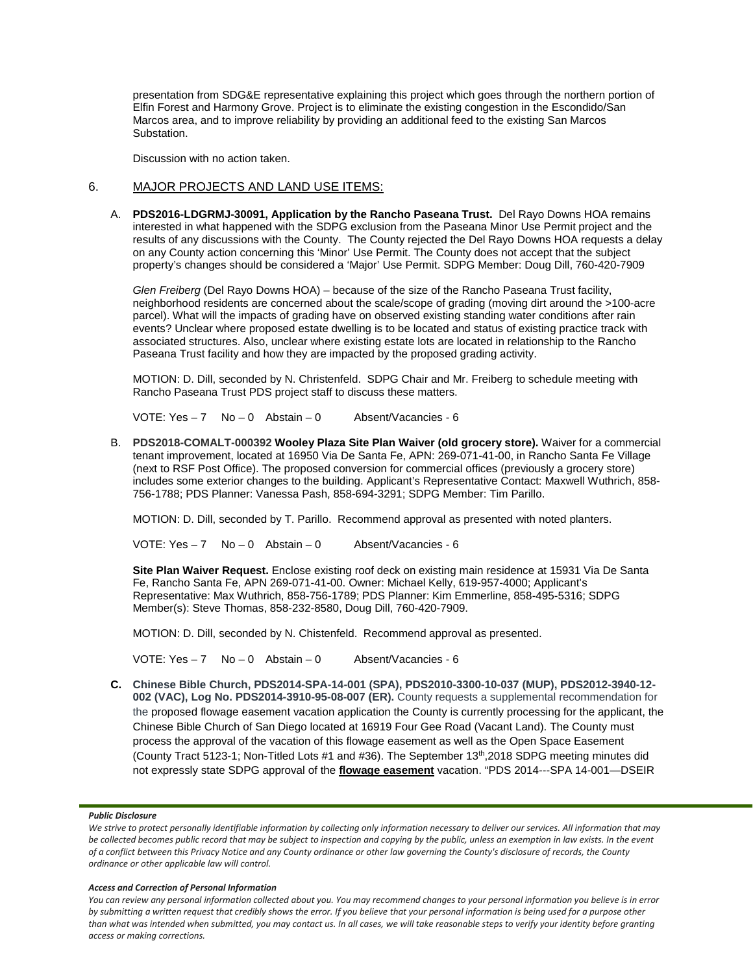presentation from SDG&E representative explaining this project which goes through the northern portion of Elfin Forest and Harmony Grove. Project is to eliminate the existing congestion in the Escondido/San Marcos area, and to improve reliability by providing an additional feed to the existing San Marcos Substation.

Discussion with no action taken.

## 6. MAJOR PROJECTS AND LAND USE ITEMS:

A. **PDS2016-LDGRMJ-30091, Application by the Rancho Paseana Trust.** Del Rayo Downs HOA remains interested in what happened with the SDPG exclusion from the Paseana Minor Use Permit project and the results of any discussions with the County. The County rejected the Del Rayo Downs HOA requests a delay on any County action concerning this 'Minor' Use Permit. The County does not accept that the subject property's changes should be considered a 'Major' Use Permit. SDPG Member: Doug Dill, 760-420-7909

*Glen Freiberg* (Del Rayo Downs HOA) – because of the size of the Rancho Paseana Trust facility, neighborhood residents are concerned about the scale/scope of grading (moving dirt around the >100-acre parcel). What will the impacts of grading have on observed existing standing water conditions after rain events? Unclear where proposed estate dwelling is to be located and status of existing practice track with associated structures. Also, unclear where existing estate lots are located in relationship to the Rancho Paseana Trust facility and how they are impacted by the proposed grading activity.

MOTION: D. Dill, seconded by N. Christenfeld. SDPG Chair and Mr. Freiberg to schedule meeting with Rancho Paseana Trust PDS project staff to discuss these matters.

VOTE: Yes – 7 No – 0 Abstain – 0 Absent/Vacancies - 6

B. **PDS2018-COMALT-000392 Wooley Plaza Site Plan Waiver (old grocery store).** Waiver for a commercial tenant improvement, located at 16950 Via De Santa Fe, APN: 269-071-41-00, in Rancho Santa Fe Village (next to RSF Post Office). The proposed conversion for commercial offices (previously a grocery store) includes some exterior changes to the building. Applicant's Representative Contact: Maxwell Wuthrich, 858- 756-1788; PDS Planner: Vanessa Pash, 858-694-3291; SDPG Member: Tim Parillo.

MOTION: D. Dill, seconded by T. Parillo. Recommend approval as presented with noted planters.

VOTE:  $Yes - 7$  No - 0 Abstain - 0 Absent/Vacancies - 6

**Site Plan Waiver Request.** Enclose existing roof deck on existing main residence at 15931 Via De Santa Fe, Rancho Santa Fe, APN 269-071-41-00. Owner: Michael Kelly, 619-957-4000; Applicant's Representative: Max Wuthrich, 858-756-1789; PDS Planner: Kim Emmerline, 858-495-5316; SDPG Member(s): Steve Thomas, 858-232-8580, Doug Dill, 760-420-7909.

MOTION: D. Dill, seconded by N. Chistenfeld. Recommend approval as presented.

VOTE: Yes – 7 No – 0 Abstain – 0 Absent/Vacancies - 6

**C. Chinese Bible Church, PDS2014-SPA-14-001 (SPA), PDS2010-3300-10-037 (MUP), PDS2012-3940-12- 002 (VAC), Log No. PDS2014-3910-95-08-007 (ER).** County requests a supplemental recommendation for the proposed flowage easement vacation application the County is currently processing for the applicant, the Chinese Bible Church of San Diego located at 16919 Four Gee Road (Vacant Land). The County must process the approval of the vacation of this flowage easement as well as the Open Space Easement (County Tract 5123-1; Non-Titled Lots #1 and #36). The September 13th,2018 SDPG meeting minutes did not expressly state SDPG approval of the **flowage easement** vacation. "PDS 2014---SPA 14-001—DSEIR

#### *Public Disclosure*

#### *Access and Correction of Personal Information*

*You can review any personal information collected about you. You may recommend changes to your personal information you believe is in error by submitting a written request that credibly shows the error. If you believe that your personal information is being used for a purpose other than what was intended when submitted, you may contact us. In all cases, we will take reasonable steps to verify your identity before granting access or making corrections.*

We strive to protect personally identifiable information by collecting only information necessary to deliver our services. All information that may be collected becomes public record that may be subject to inspection and copying by the public, unless an exemption in law exists. In the event *of a conflict between this Privacy Notice and any County ordinance or other law governing the County's disclosure of records, the County ordinance or other applicable law will control.*